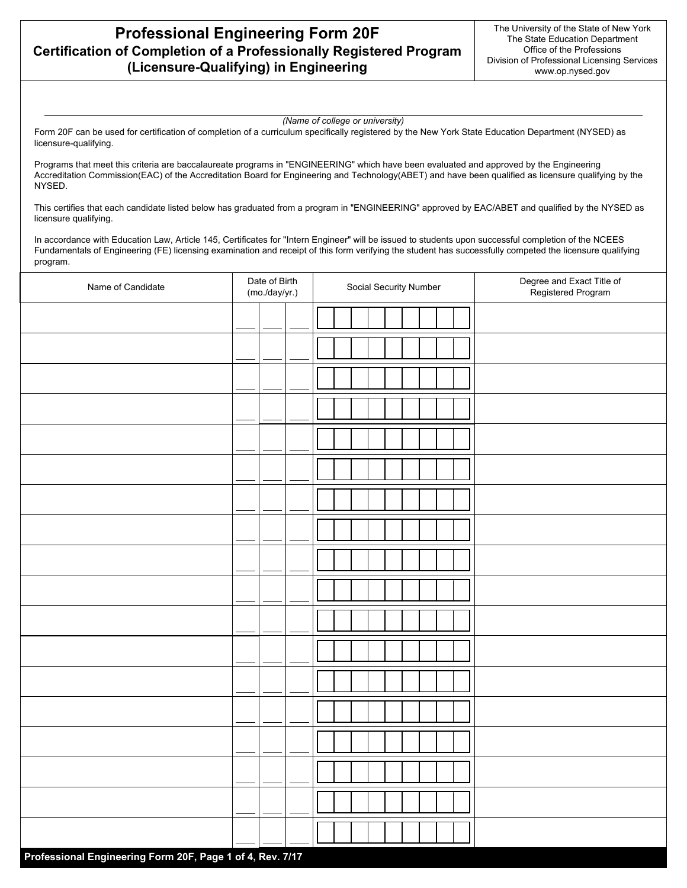## **Professional Engineering Form 20F Certification of Completion of a Professionally Registered Program (Licensure-Qualifying) in Engineering**

*(Name of college or university)*

Form 20F can be used for certification of completion of a curriculum specifically registered by the New York State Education Department (NYSED) as licensure-qualifying.

Programs that meet this criteria are baccalaureate programs in "ENGINEERING" which have been evaluated and approved by the Engineering Accreditation Commission(EAC) of the Accreditation Board for Engineering and Technology(ABET) and have been qualified as licensure qualifying by the NYSED.

This certifies that each candidate listed below has graduated from a program in "ENGINEERING" approved by EAC/ABET and qualified by the NYSED as licensure qualifying.

In accordance with Education Law, Article 145, Certificates for "Intern Engineer" will be issued to students upon successful completion of the NCEES Fundamentals of Engineering (FE) licensing examination and receipt of this form verifying the student has successfully competed the licensure qualifying program.

| Name of Candidate                                         | Date of Birth<br>(mo./day/yr.) | Social Security Number | Degree and Exact Title of<br>Registered Program |
|-----------------------------------------------------------|--------------------------------|------------------------|-------------------------------------------------|
|                                                           |                                |                        |                                                 |
|                                                           |                                |                        |                                                 |
|                                                           |                                |                        |                                                 |
|                                                           |                                |                        |                                                 |
|                                                           |                                |                        |                                                 |
|                                                           |                                |                        |                                                 |
|                                                           |                                |                        |                                                 |
|                                                           |                                |                        |                                                 |
|                                                           |                                |                        |                                                 |
|                                                           |                                |                        |                                                 |
|                                                           |                                |                        |                                                 |
|                                                           |                                |                        |                                                 |
|                                                           |                                |                        |                                                 |
|                                                           |                                |                        |                                                 |
|                                                           |                                |                        |                                                 |
|                                                           |                                |                        |                                                 |
|                                                           |                                |                        |                                                 |
|                                                           |                                |                        |                                                 |
| Professional Engineering Form 20F, Page 1 of 4, Rev. 7/17 |                                |                        |                                                 |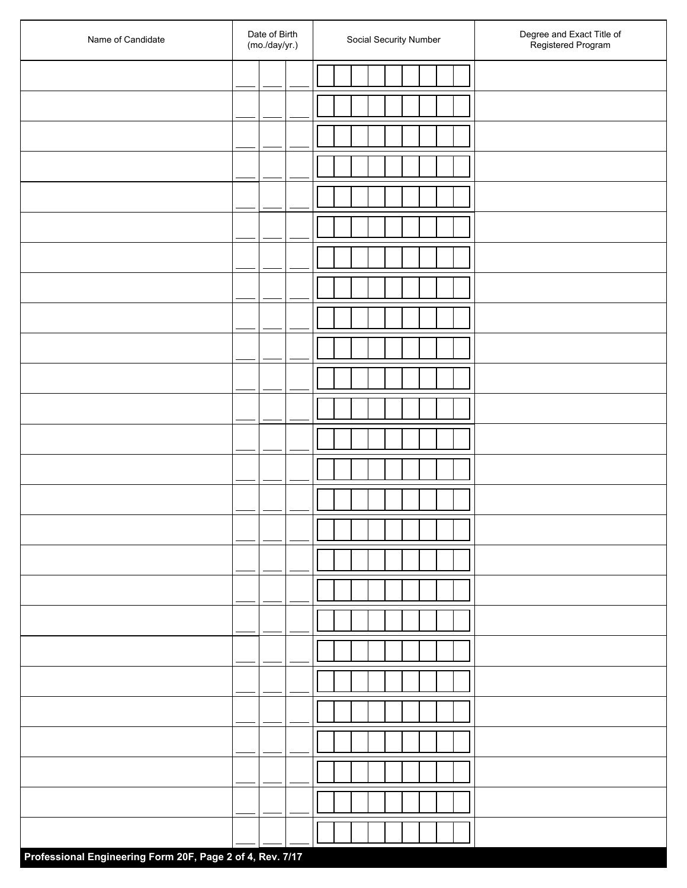|                                                           | Name of Candidate | Date of Birth<br>$(mo$ ./day/yr.) | Social Security Number | Degree and Exact Title of<br>Registered Program |
|-----------------------------------------------------------|-------------------|-----------------------------------|------------------------|-------------------------------------------------|
|                                                           |                   |                                   |                        |                                                 |
|                                                           |                   |                                   |                        |                                                 |
|                                                           |                   |                                   |                        |                                                 |
|                                                           |                   |                                   |                        |                                                 |
|                                                           |                   |                                   |                        |                                                 |
|                                                           |                   |                                   |                        |                                                 |
|                                                           |                   |                                   |                        |                                                 |
|                                                           |                   |                                   |                        |                                                 |
|                                                           |                   |                                   |                        |                                                 |
|                                                           |                   |                                   |                        |                                                 |
|                                                           |                   |                                   |                        |                                                 |
|                                                           |                   |                                   |                        |                                                 |
|                                                           |                   |                                   |                        |                                                 |
|                                                           |                   |                                   |                        |                                                 |
|                                                           |                   |                                   |                        |                                                 |
|                                                           |                   |                                   |                        |                                                 |
|                                                           |                   |                                   |                        |                                                 |
|                                                           |                   |                                   |                        |                                                 |
|                                                           |                   |                                   |                        |                                                 |
|                                                           |                   |                                   |                        |                                                 |
|                                                           |                   |                                   |                        |                                                 |
|                                                           |                   |                                   |                        |                                                 |
|                                                           |                   |                                   |                        |                                                 |
|                                                           |                   |                                   |                        |                                                 |
|                                                           |                   |                                   |                        |                                                 |
| Professional Engineering Form 20F, Page 2 of 4, Rev. 7/17 |                   |                                   |                        |                                                 |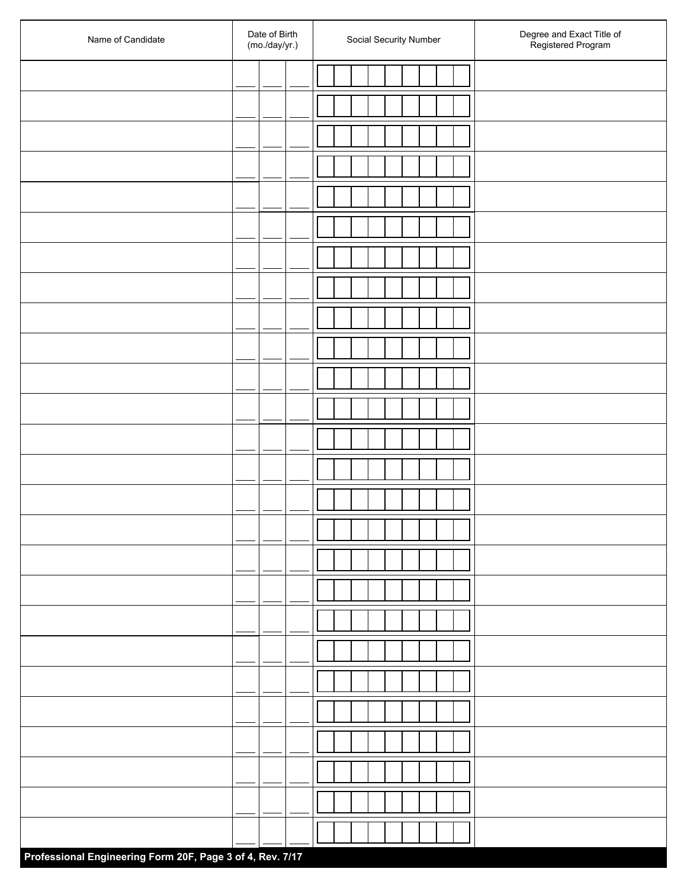| Name of Candidate                                         | Date of Birth<br>$(mo$ ./day/yr.) | Social Security Number | Degree and Exact Title of<br>Registered Program |
|-----------------------------------------------------------|-----------------------------------|------------------------|-------------------------------------------------|
|                                                           |                                   |                        |                                                 |
|                                                           |                                   |                        |                                                 |
|                                                           |                                   |                        |                                                 |
|                                                           |                                   |                        |                                                 |
|                                                           |                                   |                        |                                                 |
|                                                           |                                   |                        |                                                 |
|                                                           |                                   |                        |                                                 |
|                                                           |                                   |                        |                                                 |
|                                                           |                                   |                        |                                                 |
|                                                           |                                   |                        |                                                 |
|                                                           |                                   |                        |                                                 |
|                                                           |                                   |                        |                                                 |
|                                                           |                                   |                        |                                                 |
|                                                           |                                   |                        |                                                 |
|                                                           |                                   |                        |                                                 |
|                                                           |                                   |                        |                                                 |
|                                                           |                                   |                        |                                                 |
|                                                           |                                   |                        |                                                 |
|                                                           |                                   |                        |                                                 |
|                                                           |                                   |                        |                                                 |
|                                                           |                                   |                        |                                                 |
|                                                           |                                   |                        |                                                 |
|                                                           |                                   |                        |                                                 |
|                                                           |                                   |                        |                                                 |
|                                                           |                                   |                        |                                                 |
|                                                           |                                   |                        |                                                 |
| Professional Engineering Form 20F, Page 3 of 4, Rev. 7/17 |                                   |                        |                                                 |